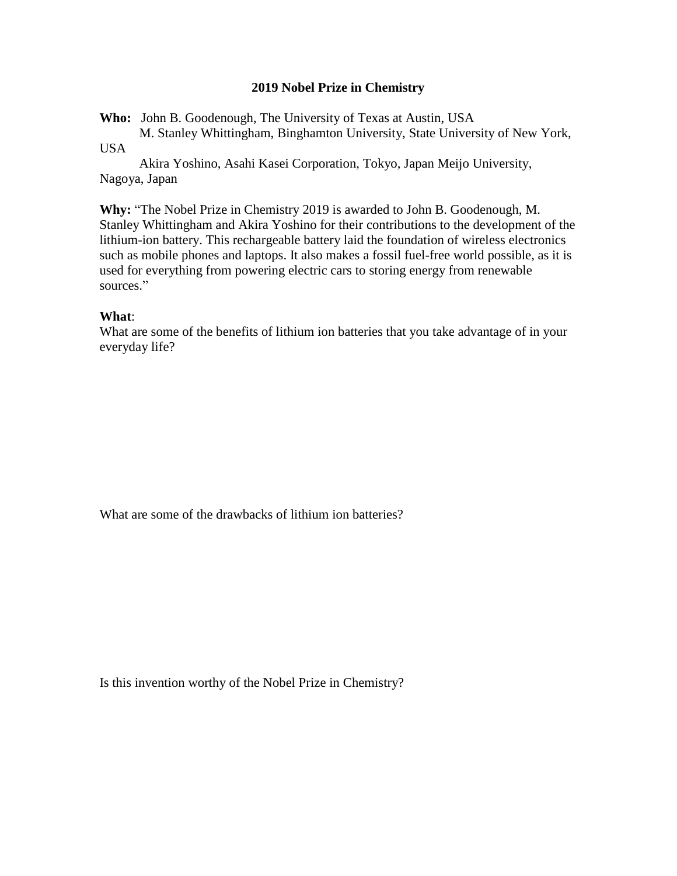## **2019 Nobel Prize in Chemistry**

**Who:** John B. Goodenough, The University of Texas at Austin, USA

M. Stanley Whittingham, Binghamton University, State University of New York, USA

Akira Yoshino, Asahi Kasei Corporation, Tokyo, Japan Meijo University, Nagoya, Japan

**Why:** "The Nobel Prize in Chemistry 2019 is awarded to John B. Goodenough, M. Stanley Whittingham and Akira Yoshino for their contributions to the development of the lithium-ion battery. This rechargeable battery laid the foundation of wireless electronics such as mobile phones and laptops. It also makes a fossil fuel-free world possible, as it is used for everything from powering electric cars to storing energy from renewable sources."

## **What**:

What are some of the benefits of lithium ion batteries that you take advantage of in your everyday life?

What are some of the drawbacks of lithium ion batteries?

Is this invention worthy of the Nobel Prize in Chemistry?